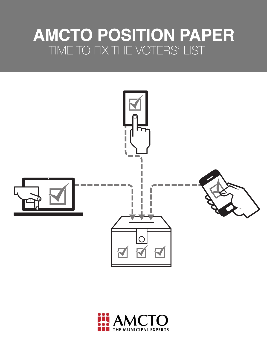# **AMCTO POSITION PAPER**  TIME TO FIX THE VOTERS' LIST



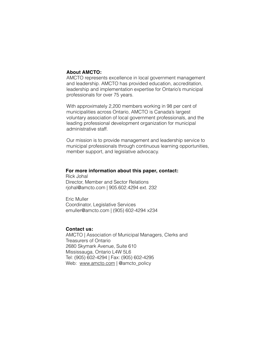#### **About AMCTO:**

AMCTO represents excellence in local government management and leadership. AMCTO has provided education, accreditation, leadership and implementation expertise for Ontario's municipal professionals for over 75 years.

With approximately 2,200 members working in 98 per cent of municipalities across Ontario, AMCTO is Canada's largest voluntary association of local government professionals, and the leading professional development organization for municipal administrative staff.

Our mission is to provide management and leadership service to municipal professionals through continuous learning opportunities, member support, and legislative advocacy.

#### **For more information about this paper, contact:**

Rick Johal Director, Member and Sector Relations rjohal@amcto.com | 905.602.4294 ext. 232

Eric Muller Coordinator, Legislative Services [emuller@amcto.com](mailto:emuller@amcto.com) | (905) 602-4294 x234

#### **Contact us:**

AMCTO | Association of Municipal Managers, Clerks and Treasurers of Ontario 2680 Skymark Avenue, Suite 610 Mississauga, Ontario L4W 5L6 Tel: (905) 602-4294 | Fax: (905) 602-4295 Web: [www.amcto.com](http://www.amcto.com) | @amcto\_policy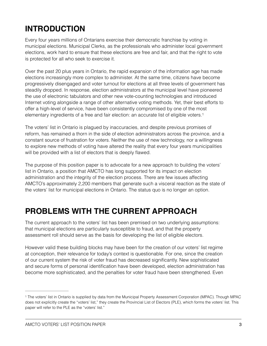# **INTRODUCTION**

Every four years millions of Ontarians exercise their democratic franchise by voting in municipal elections. Municipal Clerks, as the professionals who administer local government elections, work hard to ensure that these elections are free and fair, and that the right to vote is protected for all who seek to exercise it.

Over the past 20 plus years in Ontario, the rapid expansion of the information age has made elections increasingly more complex to administer. At the same time, citizens have become progressively disengaged and voter turnout for elections at all three levels of government has steadily dropped. In response, election administrators at the municipal level have pioneered the use of electronic tabulators and other new vote-counting technologies and introduced Internet voting alongside a range of other alternative voting methods. Yet, their best efforts to offer a high-level of service, have been consistently compromised by one of the most elementary ingredients of a free and fair election: an accurate list of eligible voters. 1

The voters' list in Ontario is plagued by inaccuracies, and despite previous promises of reform, has remained a thorn in the side of election administrators across the province, and a constant source of frustration for voters. Neither the use of new technology, nor a willingness to explore new methods of voting have altered the reality that every four years municipalities will be provided with a list of electors that is deeply flawed.

The purpose of this position paper is to advocate for a new approach to building the voters' list in Ontario, a position that AMCTO has long supported for its impact on election administration and the integrity of the election process. There are few issues affecting AMCTO's approximately 2,200 members that generate such a visceral reaction as the state of the voters' list for municipal elections in Ontario. The status quo is no longer an option.

# **PROBLEMS WITH THE CURRENT APPROACH**

The current approach to the voters' list has been premised on two underlying assumptions: that municipal elections are particularly susceptible to fraud, and that the property assessment roll should serve as the basis for developing the list of eligible electors.

However valid these building blocks may have been for the creation of our voters' list regime at conception, their relevance for today's context is questionable. For one, since the creation of our current system the risk of voter fraud has decreased significantly. New sophisticated and secure forms of personal identification have been developed, election administration has become more sophisticated, and the penalties for voter fraud have been strengthened. Even

<sup>&</sup>lt;sup>1</sup> The voters' list in Ontario is supplied by data from the Municipal Property Assessment Corporation (MPAC). Though MPAC does not explicitly create the "voters' list," they create the Provincial List of Electors (PLE), which forms the voters' list. This paper will refer to the PLE as the "voters' list."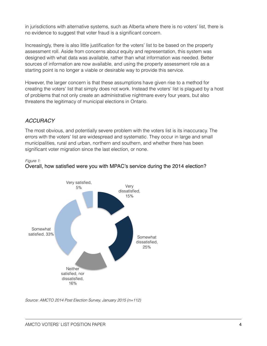in jurisdictions with alternative systems, such as Alberta where there is no voters' list, there is no evidence to suggest that voter fraud is a significant concern.

Increasingly, there is also little justification for the voters' list to be based on the property assessment roll. Aside from concerns about equity and representation, this system was designed with what data was available, rather than what information was needed. Better sources of information are now available, and using the property assessment role as a starting point is no longer a viable or desirable way to provide this service.

However, the larger concern is that these assumptions have given rise to a method for creating the voters' list that simply does not work. Instead the voters' list is plagued by a host of problems that not only create an administrative nightmare every four years, but also threatens the legitimacy of municipal elections in Ontario.

#### *ACCURACY*

The most obvious, and potentially severe problem with the voters list is its inaccuracy. The errors with the voters' list are widespread and systematic. They occur in large and small municipalities, rural and urban, northern and southern, and whether there has been significant voter migration since the last election, or none.





Overall, how satisfied were you with MPAC's service during the 2014 election?

*Source: AMCTO 2014 Post Election Survey, January 2015 (n=112)*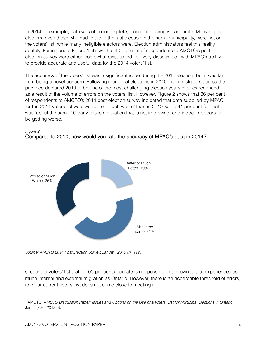In 2014 for example, data was often incomplete, incorrect or simply inaccurate. Many eligible electors, even those who had voted in the last election in the same municipality, were not on the voters' list, while many ineligible electors were. Election administrators feel this reality acutely. For instance, Figure 1 shows that 40 per cent of respondents to AMCTO's postelection survey were either 'somewhat dissatisfied,' or 'very dissatisfied,' with MPAC's ability to provide accurate and useful data for the 2014 voters' list.

The accuracy of the voters' list was a significant issue during the 2014 election, but it was far from being a novel concern. Following municipal elections in 2010<sup>2</sup>, administrators across the province declared 2010 to be one of the most challenging election years ever experienced, as a result of the volume of errors on the voters' list. However, Figure 2 shows that 36 per cent of respondents to AMCTO's 2014 post-election survey indicated that data supplied by MPAC for the 2014 voters list was 'worse,' or 'much worse' than in 2010, while 41 per cent felt that it was 'about the same.' Clearly this is a situation that is not improving, and indeed appears to be getting worse.







*Source: AMCTO 2014 Post Election Survey, January 2015 (n=112)*

Creating a voters' list that is 100 per cent accurate is not possible in a province that experiences as much internal and external migration as Ontario. However, there is an acceptable threshold of errors, and our current voters' list does not come close to meeting it.

AMCTO, *AMCTO Discussion Paper: Issues and Options on the Use of a Voters' List for Municipal Elections in Ontario*, 2 January 30, 2012, 8.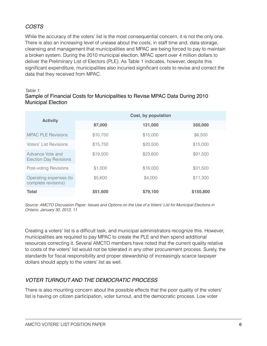#### *COSTS*

While the accuracy of the voters' list is the most consequential concern, it is not the only one. There is also an increasing level of unease about the costs, in staff time and, data storage, cleansing and management that municipalities and MPAC are being forced to pay to maintain a broken system. During the 2010 municipal election, MPAC spent over 4 million dollars to deliver the Preliminary List of Electors (PLE). As Table 1 indicates, however, despite this significant expenditure, municipalities also incurred significant costs to revise and correct the data that they received from MPAC.

#### *Table 1:*

#### Sample of Financial Costs for Municipalities to Revise MPAC Data During 2010 Municipal Election

| <b>Activity</b>                                   | Cost, by population |          |           |
|---------------------------------------------------|---------------------|----------|-----------|
|                                                   | 87,000              | 121,000  | 350,000   |
| <b>MPAC PLE Revisions</b>                         | \$10,750            | \$15,000 | \$6,500   |
| Voters' List Revisions                            | \$15,750            | \$20,500 | \$15,000  |
| Advance Vote and<br><b>Election Day Revisions</b> | \$19,500            | \$23,600 | \$91,500  |
| Post-voting Revisions                             | \$1,000             | \$16,000 | \$31,500  |
| Operating expenses (to<br>complete revisions)     | \$5,600             | \$4,000  | \$11,300  |
| <b>Total</b>                                      | \$51,600            | \$79,100 | \$155,800 |

*Source: AMCTO Discussion Paper: Issues and Options on the Use of a Voters' List for Municipal Elections in Ontario, January 30, 2012, 11*

Creating a voters' list is a difficult task, and municipal administrators recognize this. However, municipalities are required to pay MPAC to create the PLE and then spend additional resources correcting it. Several AMCTO members have noted that the current quality relative to costs of the voters' list would not be tolerated in any other procurement process. Surely, the standards for fiscal responsibility and proper stewardship of increasingly scarce taxpayer dollars should apply to the voters' list as well.

### *VOTER TURNOUT AND THE DEMOCRATIC PROCESS*

There is also mounting concern about the possible effects that the poor quality of the voters' list is having on citizen participation, voter turnout, and the democratic process. Low voter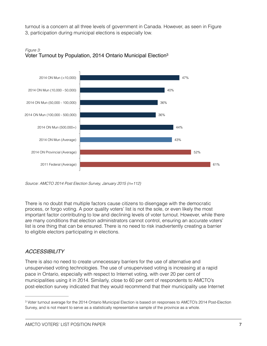turnout is a concern at all three levels of government in Canada. However, as seen in Figure 3, participation during municipal elections is especially low.



*Figure 3:*  Voter Turnout by Population, 2014 Ontario Municipal Election3

There is no doubt that multiple factors cause citizens to disengage with the democratic process, or forgo voting. A poor quality voters' list is not the sole, or even likely the most important factor contributing to low and declining levels of voter turnout. However, while there are many conditions that election administrators cannot control, ensuring an accurate voters' list is one thing that can be ensured. There is no need to risk inadvertently creating a barrier to eligible electors participating in elections.

#### *ACCESSIBILITY*

There is also no need to create unnecessary barriers for the use of alternative and unsupervised voting technologies. The use of unsupervised voting is increasing at a rapid pace in Ontario, especially with respect to Internet voting, with over 20 per cent of municipalities using it in 2014. Similarly, close to 60 per cent of respondents to AMCTO's post-election survey indicated that they would recommend that their municipality use Internet

*Source: AMCTO 2014 Post Election Survey, January 2015 (n=112)*

<sup>&</sup>lt;sup>3</sup> Voter turnout average for the 2014 Ontario Municipal Election is based on responses to AMCTO's 2014 Post-Election Survey, and is not meant to serve as a statistically representative sample of the province as a whole.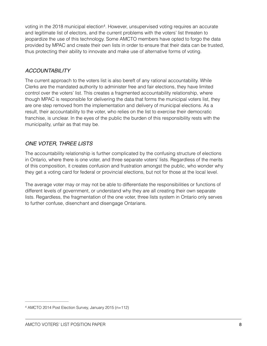voting in the 2018 municipal election<sup>4</sup>. However, unsupervised voting requires an accurate and legitimate list of electors, and the current problems with the voters' list threaten to jeopardize the use of this technology. Some AMCTO members have opted to forgo the data provided by MPAC and create their own lists in order to ensure that their data can be trusted, thus protecting their ability to innovate and make use of alternative forms of voting.

### *ACCOUNTABILITY*

The current approach to the voters list is also bereft of any rational accountability. While Clerks are the mandated authority to administer free and fair elections, they have limited control over the voters' list. This creates a fragmented accountability relationship, where though MPAC is responsible for delivering the data that forms the municipal voters list, they are one step removed from the implementation and delivery of municipal elections. As a result, their accountability to the voter, who relies on the list to exercise their democratic franchise, is unclear. In the eyes of the public the burden of this responsibility rests with the municipality, unfair as that may be.

### *ONE VOTER, THREE LISTS*

The accountability relationship is further complicated by the confusing structure of elections in Ontario, where there is one voter, and three separate voters' lists. Regardless of the merits of this composition, it creates confusion and frustration amongst the public, who wonder why they get a voting card for federal or provincial elections, but not for those at the local level.

The average voter may or may not be able to differentiate the responsibilities or functions of different levels of government, or understand why they are all creating their own separate lists. Regardless, the fragmentation of the one voter, three lists system in Ontario only serves to further confuse, disenchant and disengage Ontarians.

AMCTO 2014 Post Election Survey, January 2015 (n=112) <sup>4</sup>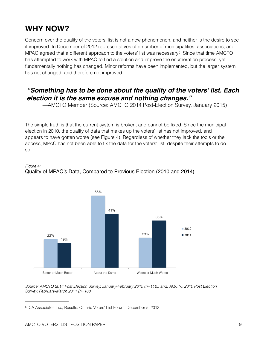# **WHY NOW?**

Concern over the quality of the voters' list is not a new phenomenon, and neither is the desire to see it improved. In December of 2012 representatives of a number of municipalities, associations, and MPAC agreed that a different approach to the voters' list was necessary<sup>5</sup>. Since that time AMCTO has attempted to work with MPAC to find a solution and improve the enumeration process, yet fundamentally nothing has changed. Minor reforms have been implemented, but the larger system has not changed, and therefore not improved.

### *"Something has to be done about the quality of the voters' list. Each election it is the same excuse and nothing changes."*

—AMCTO Member (Source: AMCTO 2014 Post-Election Survey, January 2015)

The simple truth is that the current system is broken, and cannot be fixed. Since the municipal election in 2010, the quality of data that makes up the voters' list has not improved, and appears to have gotten worse (see Figure 4). Regardless of whether they lack the tools or the access, MPAC has not been able to fix the data for the voters' list, despite their attempts to do so.





*Source: AMCTO 2014 Post Election Survey, January-February 2015 (n=112); and, AMCTO 2010 Post Election Survey, February-March 2011 (n=168*

<sup>5</sup> ICA Associates Inc., Results: Ontario Voters' List Forum, December 5, 2012.